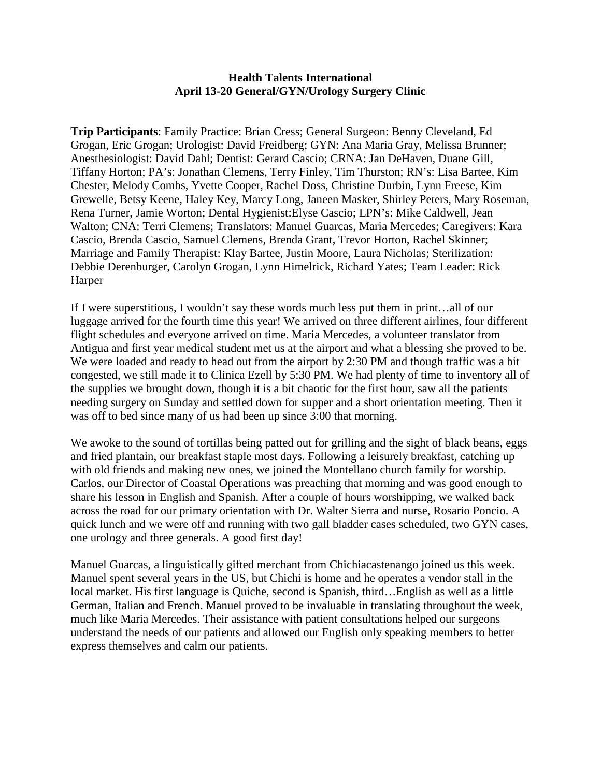## **Health Talents International April 13-20 General/GYN/Urology Surgery Clinic**

**Trip Participants**: Family Practice: Brian Cress; General Surgeon: Benny Cleveland, Ed Grogan, Eric Grogan; Urologist: David Freidberg; GYN: Ana Maria Gray, Melissa Brunner; Anesthesiologist: David Dahl; Dentist: Gerard Cascio; CRNA: Jan DeHaven, Duane Gill, Tiffany Horton; PA's: Jonathan Clemens, Terry Finley, Tim Thurston; RN's: Lisa Bartee, Kim Chester, Melody Combs, Yvette Cooper, Rachel Doss, Christine Durbin, Lynn Freese, Kim Grewelle, Betsy Keene, Haley Key, Marcy Long, Janeen Masker, Shirley Peters, Mary Roseman, Rena Turner, Jamie Worton; Dental Hygienist:Elyse Cascio; LPN's: Mike Caldwell, Jean Walton; CNA: Terri Clemens; Translators: Manuel Guarcas, Maria Mercedes; Caregivers: Kara Cascio, Brenda Cascio, Samuel Clemens, Brenda Grant, Trevor Horton, Rachel Skinner; Marriage and Family Therapist: Klay Bartee, Justin Moore, Laura Nicholas; Sterilization: Debbie Derenburger, Carolyn Grogan, Lynn Himelrick, Richard Yates; Team Leader: Rick Harper

If I were superstitious, I wouldn't say these words much less put them in print…all of our luggage arrived for the fourth time this year! We arrived on three different airlines, four different flight schedules and everyone arrived on time. Maria Mercedes, a volunteer translator from Antigua and first year medical student met us at the airport and what a blessing she proved to be. We were loaded and ready to head out from the airport by 2:30 PM and though traffic was a bit congested, we still made it to Clinica Ezell by 5:30 PM. We had plenty of time to inventory all of the supplies we brought down, though it is a bit chaotic for the first hour, saw all the patients needing surgery on Sunday and settled down for supper and a short orientation meeting. Then it was off to bed since many of us had been up since 3:00 that morning.

We awoke to the sound of tortillas being patted out for grilling and the sight of black beans, eggs and fried plantain, our breakfast staple most days. Following a leisurely breakfast, catching up with old friends and making new ones, we joined the Montellano church family for worship. Carlos, our Director of Coastal Operations was preaching that morning and was good enough to share his lesson in English and Spanish. After a couple of hours worshipping, we walked back across the road for our primary orientation with Dr. Walter Sierra and nurse, Rosario Poncio. A quick lunch and we were off and running with two gall bladder cases scheduled, two GYN cases, one urology and three generals. A good first day!

Manuel Guarcas, a linguistically gifted merchant from Chichiacastenango joined us this week. Manuel spent several years in the US, but Chichi is home and he operates a vendor stall in the local market. His first language is Quiche, second is Spanish, third…English as well as a little German, Italian and French. Manuel proved to be invaluable in translating throughout the week, much like Maria Mercedes. Their assistance with patient consultations helped our surgeons understand the needs of our patients and allowed our English only speaking members to better express themselves and calm our patients.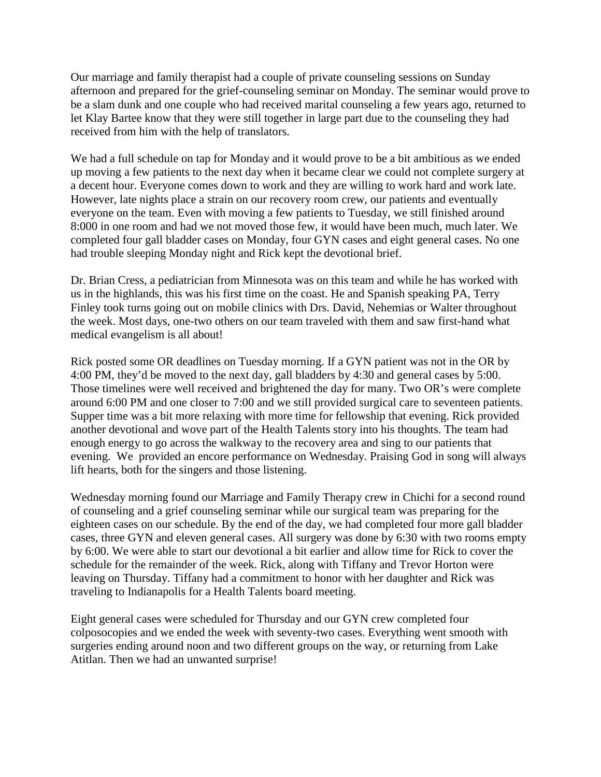Our marriage and family therapist had a couple of private counseling sessions on Sunday afternoon and prepared for the grief-counseling seminar on Monday. The seminar would prove to be a slam dunk and one couple who had received marital counseling a few years ago, returned to let Klay Bartee know that they were still together in large part due to the counseling they had received from him with the help of translators.

We had a full schedule on tap for Monday and it would prove to be a bit ambitious as we ended up moving a few patients to the next day when it became clear we could not complete surgery at a decent hour. Everyone comes down to work and they are willing to work hard and work late. However, late nights place a strain on our recovery room crew, our patients and eventually everyone on the team. Even with moving a few patients to Tuesday, we still finished around 8:000 in one room and had we not moved those few, it would have been much, much later. We completed four gall bladder cases on Monday, four GYN cases and eight general cases. No one had trouble sleeping Monday night and Rick kept the devotional brief.

Dr. Brian Cress, a pediatrician from Minnesota was on this team and while he has worked with us in the highlands, this was his first time on the coast. He and Spanish speaking PA, Terry Finley took turns going out on mobile clinics with Drs. David, Nehemias or Walter throughout the week. Most days, one-two others on our team traveled with them and saw first-hand what medical evangelism is all about!

Rick posted some OR deadlines on Tuesday morning. If a GYN patient was not in the OR by 4:00 PM, they'd be moved to the next day, gall bladders by 4:30 and general cases by 5:00. Those timelines were well received and brightened the day for many. Two OR's were complete around 6:00 PM and one closer to 7:00 and we still provided surgical care to seventeen patients. Supper time was a bit more relaxing with more time for fellowship that evening. Rick provided another devotional and wove part of the Health Talents story into his thoughts. The team had enough energy to go across the walkway to the recovery area and sing to our patients that evening. We provided an encore performance on Wednesday. Praising God in song will always lift hearts, both for the singers and those listening.

Wednesday morning found our Marriage and Family Therapy crew in Chichi for a second round of counseling and a grief counseling seminar while our surgical team was preparing for the eighteen cases on our schedule. By the end of the day, we had completed four more gall bladder cases, three GYN and eleven general cases. All surgery was done by 6:30 with two rooms empty by 6:00. We were able to start our devotional a bit earlier and allow time for Rick to cover the schedule for the remainder of the week. Rick, along with Tiffany and Trevor Horton were leaving on Thursday. Tiffany had a commitment to honor with her daughter and Rick was traveling to Indianapolis for a Health Talents board meeting.

Eight general cases were scheduled for Thursday and our GYN crew completed four colposocopies and we ended the week with seventy-two cases. Everything went smooth with surgeries ending around noon and two different groups on the way, or returning from Lake Atitlan. Then we had an unwanted surprise!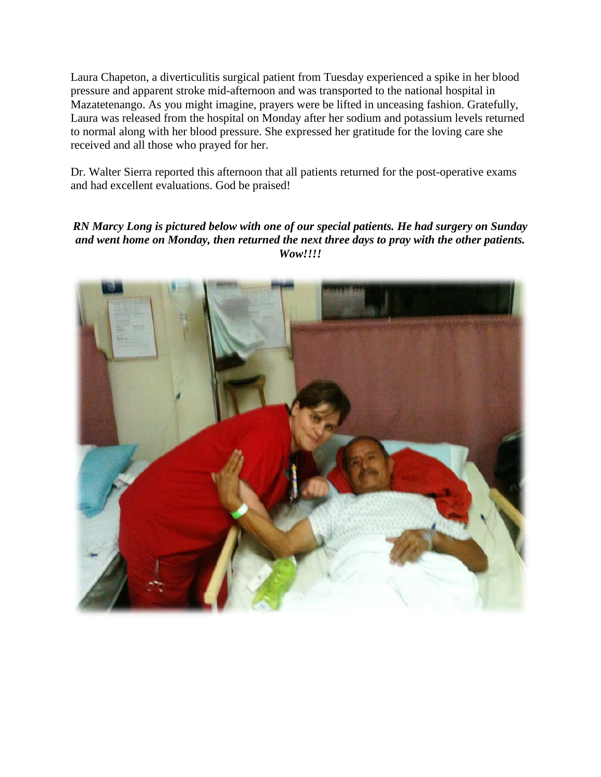Laura Chapeton, a diverticulitis surgical patient from Tuesday experienced a spike in her blood pressure and apparent stroke mid-afternoon and was transported to the national hospital in Mazatetenango. As you might imagine, prayers were be lifted in unceasing fashion. Gratefully, Laura was released from the hospital on Monday after her sodium and potassium levels returned to normal along with her blood pressure. She expressed her gratitude for the loving care she received and all those who prayed for her.

Dr. Walter Sierra reported this afternoon that all patients returned for the post-operative exams and had excellent evaluations. God be praised!

*RN Marcy Long is pictured below with one of our special patients. He had surgery on Sunday and went home on Monday, then returned the next three days to pray with the other patients. Wow!!!!*

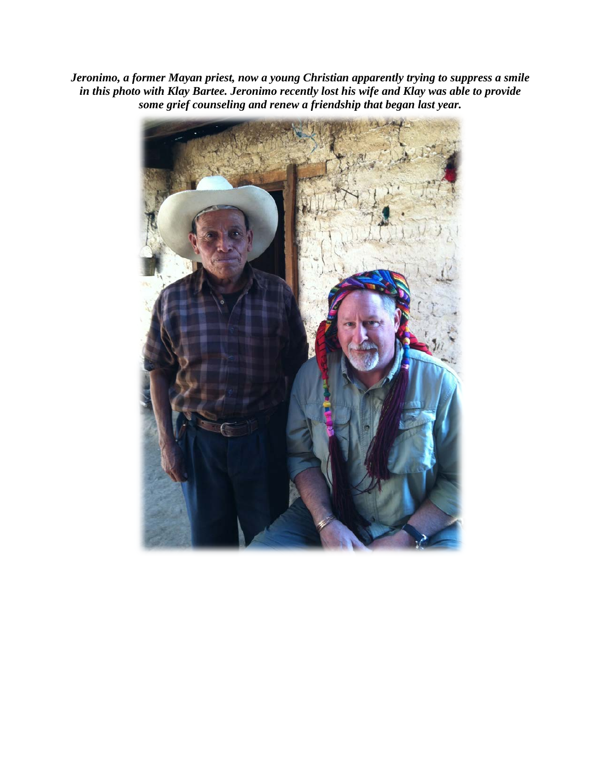*Jeronimo, a former Mayan priest, now a young Christian apparently trying to suppress a smile in this photo with Klay Bartee. Jeronimo recently lost his wife and Klay was able to provide some grief counseling and renew a friendship that began last year.*